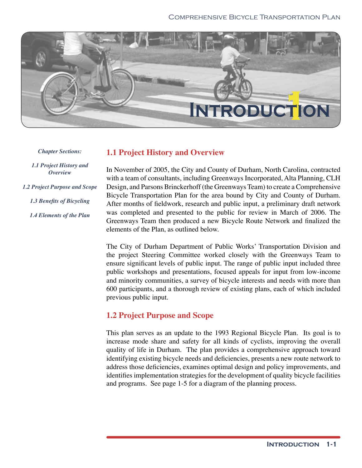

*Chapter Sections:*

*1.1 Project History and Overview*

*1.2 Project Purpose and Scope*

1.3 Benefits of Bicycling

*1.4 Elements of the Plan*

# **1.1 Project History and Overview**

In November of 2005, the City and County of Durham, North Carolina, contracted with a team of consultants, including Greenways Incorporated, Alta Planning, CLH Design, and Parsons Brinckerhoff (the Greenways Team) to create a Comprehensive Bicycle Transportation Plan for the area bound by City and County of Durham. After months of fieldwork, research and public input, a preliminary draft network was completed and presented to the public for review in March of 2006. The Greenways Team then produced a new Bicycle Route Network and finalized the elements of the Plan, as outlined below.

The City of Durham Department of Public Works' Transportation Division and the project Steering Committee worked closely with the Greenways Team to ensure significant levels of public input. The range of public input included three public workshops and presentations, focused appeals for input from low-income and minority communities, a survey of bicycle interests and needs with more than 600 participants, and a thorough review of existing plans, each of which included previous public input.

# **1.2 Project Purpose and Scope**

This plan serves as an update to the 1993 Regional Bicycle Plan. Its goal is to increase mode share and safety for all kinds of cyclists, improving the overall quality of life in Durham. The plan provides a comprehensive approach toward identifying existing bicycle needs and deficiencies, presents a new route network to address those deficiencies, examines optimal design and policy improvements, and identifies implementation strategies for the development of quality bicycle facilities and programs. See page 1-5 for a diagram of the planning process.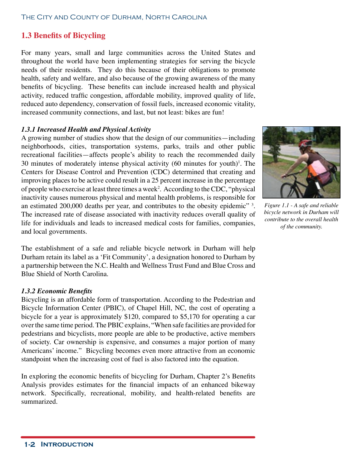#### The City and County of Durham, North Carolina

# **1.3 Benefits of Bicycling**

For many years, small and large communities across the United States and throughout the world have been implementing strategies for serving the bicycle needs of their residents. They do this because of their obligations to promote health, safety and welfare, and also because of the growing awareness of the many benefits of bicycling. These benefits can include increased health and physical activity, reduced traffic congestion, affordable mobility, improved quality of life, reduced auto dependency, conservation of fossil fuels, increased economic vitality, increased community connections, and last, but not least: bikes are fun!

### *1.3.1 Increased Health and Physical Activity*

A growing number of studies show that the design of our communities—including neighborhoods, cities, transportation systems, parks, trails and other public recreational facilities—affects people's ability to reach the recommended daily 30 minutes of moderately intense physical activity  $(60 \text{ minutes}$  for youth)<sup>1</sup>. The Centers for Disease Control and Prevention (CDC) determined that creating and improving places to be active could result in a 25 percent increase in the percentage of people who exercise at least three times a week<sup>2</sup>. According to the CDC, "physical inactivity causes numerous physical and mental health problems, is responsible for an estimated 200,000 deaths per year, and contributes to the obesity epidemic" <sup>3</sup>. The increased rate of disease associated with inactivity reduces overall quality of life for individuals and leads to increased medical costs for families, companies, and local governments.

The establishment of a safe and reliable bicycle network in Durham will help Durham retain its label as a 'Fit Community', a designation honored to Durham by a partnership between the N.C. Health and Wellness Trust Fund and Blue Cross and Blue Shield of North Carolina.

#### *1.3.2 Economic Benefits*

Bicycling is an affordable form of transportation. According to the Pedestrian and Bicycle Information Center (PBIC), of Chapel Hill, NC, the cost of operating a bicycle for a year is approximately \$120, compared to \$5,170 for operating a car over the same time period. The PBIC explains, "When safe facilities are provided for pedestrians and bicyclists, more people are able to be productive, active members of society. Car ownership is expensive, and consumes a major portion of many Americans' income." Bicycling becomes even more attractive from an economic standpoint when the increasing cost of fuel is also factored into the equation.

In exploring the economic benefits of bicycling for Durham, Chapter 2's Benefits Analysis provides estimates for the financial impacts of an enhanced bikeway network. Specifically, recreational, mobility, and health-related benefits are summarized.



*bicycle network in Durham will contribute to the overall health of the community.*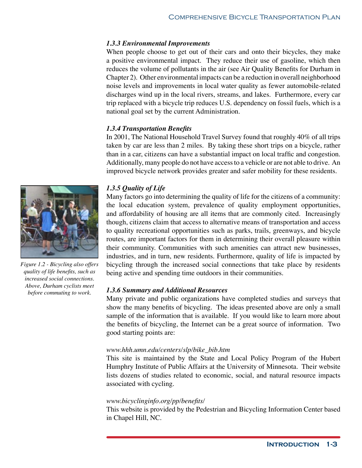## *1.3.3 Environmental Improvements*

When people choose to get out of their cars and onto their bicycles, they make a positive environmental impact. They reduce their use of gasoline, which then reduces the volume of pollutants in the air (see Air Quality Benefits for Durham in Chapter 2). Other environmental impacts can be a reduction in overall neighborhood noise levels and improvements in local water quality as fewer automobile-related discharges wind up in the local rivers, streams, and lakes. Furthermore, every car trip replaced with a bicycle trip reduces U.S. dependency on fossil fuels, which is a national goal set by the current Administration.

## *1.3.4 Transportation Benefits*

In 2001, The National Household Travel Survey found that roughly 40% of all trips taken by car are less than 2 miles. By taking these short trips on a bicycle, rather than in a car, citizens can have a substantial impact on local traffic and congestion. Additionally, many people do not have access to a vehicle or are not able to drive. An improved bicycle network provides greater and safer mobility for these residents.



Many factors go into determining the quality of life for the citizens of a community: the local education system, prevalence of quality employment opportunities, and affordability of housing are all items that are commonly cited. Increasingly though, citizens claim that access to alternative means of transportation and access to quality recreational opportunities such as parks, trails, greenways, and bicycle routes, are important factors for them in determining their overall pleasure within their community. Communities with such amenities can attract new businesses, industries, and in turn, new residents. Furthermore, quality of life is impacted by bicycling through the increased social connections that take place by residents being active and spending time outdoors in their communities.

### *1.3.6 Summary and Additional Resources*

Many private and public organizations have completed studies and surveys that show the many benefits of bicycling. The ideas presented above are only a small sample of the information that is available. If you would like to learn more about the benefits of bicycling, the Internet can be a great source of information. Two good starting points are:

### *www.hhh.umn.edu/centers/slp/bike\_bib.htm*

This site is maintained by the State and Local Policy Program of the Hubert Humphry Institute of Public Affairs at the University of Minnesota. Their website lists dozens of studies related to economic, social, and natural resource impacts associated with cycling.

### *www.bicyclinginfo.org/pp/benefits/*

This website is provided by the Pedestrian and Bicycling Information Center based in Chapel Hill, NC.



*Figure 1.2 - Bicycling also offers quality of life benefits, such as increased social connections. Above, Durham cyclists meet before commuting to work.*